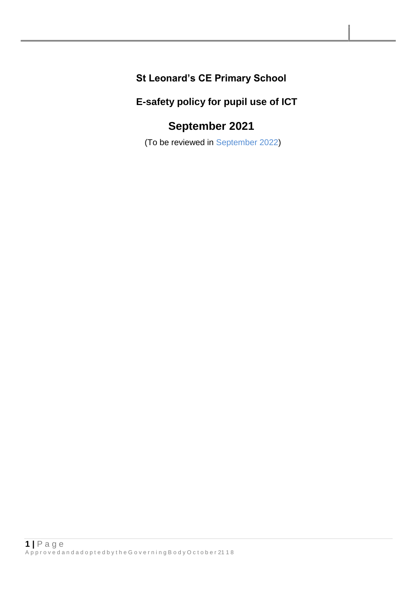### **St Leonard's CE Primary School**

### **E-safety policy for pupil use of ICT**

# **September 2021**

(To be reviewed in September 2022)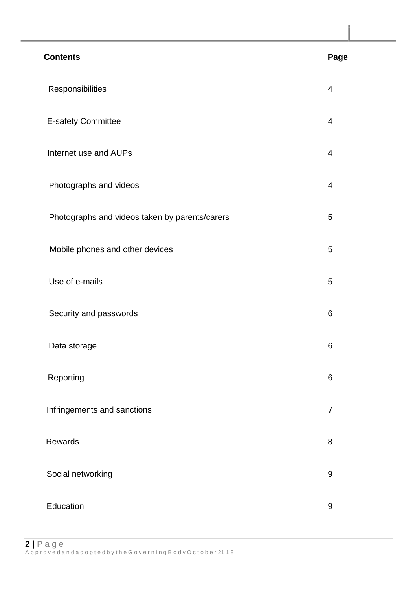| <b>Contents</b>                                | Page           |
|------------------------------------------------|----------------|
| Responsibilities                               | $\overline{4}$ |
| <b>E-safety Committee</b>                      | 4              |
| Internet use and AUPs                          | 4              |
| Photographs and videos                         | 4              |
| Photographs and videos taken by parents/carers | 5              |
| Mobile phones and other devices                | 5              |
| Use of e-mails                                 | 5              |
| Security and passwords                         | 6              |
| Data storage                                   | 6              |
| Reporting                                      | 6              |
| Infringements and sanctions                    | $\overline{7}$ |
| Rewards                                        | 8              |
| Social networking                              | 9              |
| Education                                      | 9              |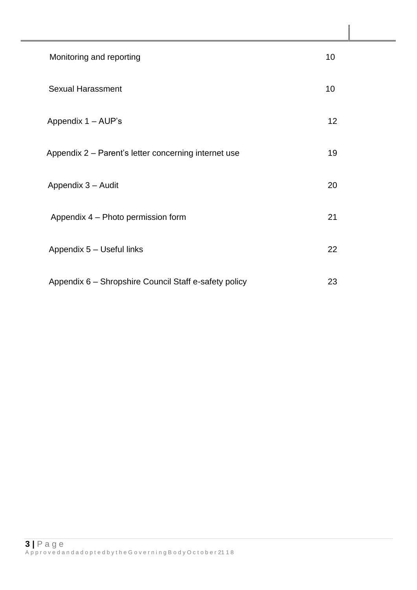| Monitoring and reporting                              | 10              |
|-------------------------------------------------------|-----------------|
| <b>Sexual Harassment</b>                              | 10              |
| Appendix 1 - AUP's                                    | 12 <sup>2</sup> |
| Appendix 2 - Parent's letter concerning internet use  | 19              |
| Appendix 3 - Audit                                    | 20              |
| Appendix 4 - Photo permission form                    | 21              |
| Appendix 5 - Useful links                             | 22              |
| Appendix 6 - Shropshire Council Staff e-safety policy | 23              |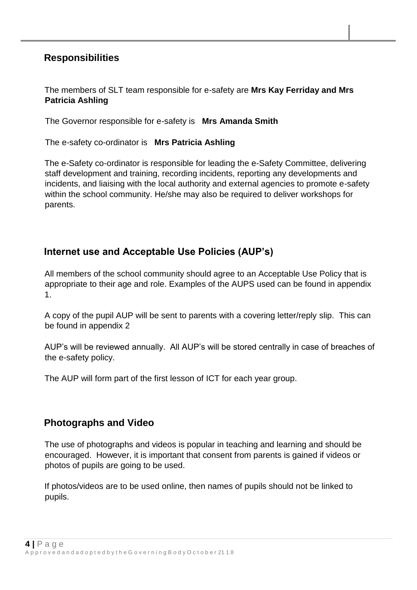### **Responsibilities**

#### The members of SLT team responsible for e-safety are **Mrs Kay Ferriday and Mrs Patricia Ashling**

The Governor responsible for e-safety is **Mrs Amanda Smith**

The e-safety co-ordinator is **Mrs Patricia Ashling**

The e-Safety co-ordinator is responsible for leading the e-Safety Committee, delivering staff development and training, recording incidents, reporting any developments and incidents, and liaising with the local authority and external agencies to promote e-safety within the school community. He/she may also be required to deliver workshops for parents.

### **Internet use and Acceptable Use Policies (AUP's)**

All members of the school community should agree to an Acceptable Use Policy that is appropriate to their age and role. Examples of the AUPS used can be found in appendix 1.

A copy of the pupil AUP will be sent to parents with a covering letter/reply slip. This can be found in appendix 2

AUP's will be reviewed annually. All AUP's will be stored centrally in case of breaches of the e-safety policy.

The AUP will form part of the first lesson of ICT for each year group.

### **Photographs and Video**

The use of photographs and videos is popular in teaching and learning and should be encouraged. However, it is important that consent from parents is gained if videos or photos of pupils are going to be used.

If photos/videos are to be used online, then names of pupils should not be linked to pupils.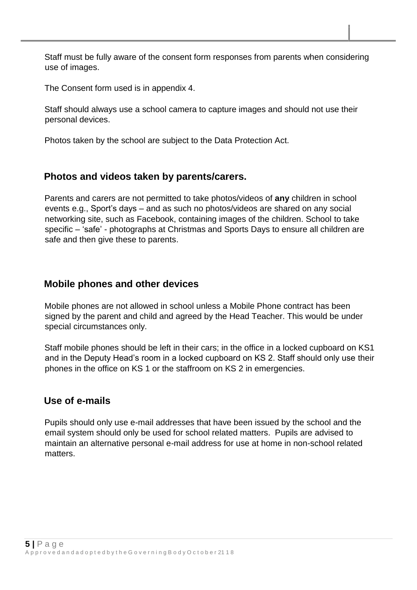Staff must be fully aware of the consent form responses from parents when considering use of images.

The Consent form used is in appendix 4.

Staff should always use a school camera to capture images and should not use their personal devices.

Photos taken by the school are subject to the Data Protection Act.

#### **Photos and videos taken by parents/carers.**

Parents and carers are not permitted to take photos/videos of **any** children in school events e.g., Sport's days – and as such no photos/videos are shared on any social networking site, such as Facebook, containing images of the children. School to take specific – 'safe' - photographs at Christmas and Sports Days to ensure all children are safe and then give these to parents.

#### **Mobile phones and other devices**

Mobile phones are not allowed in school unless a Mobile Phone contract has been signed by the parent and child and agreed by the Head Teacher. This would be under special circumstances only.

Staff mobile phones should be left in their cars; in the office in a locked cupboard on KS1 and in the Deputy Head's room in a locked cupboard on KS 2. Staff should only use their phones in the office on KS 1 or the staffroom on KS 2 in emergencies.

### **Use of e-mails**

Pupils should only use e-mail addresses that have been issued by the school and the email system should only be used for school related matters. Pupils are advised to maintain an alternative personal e-mail address for use at home in non-school related matters.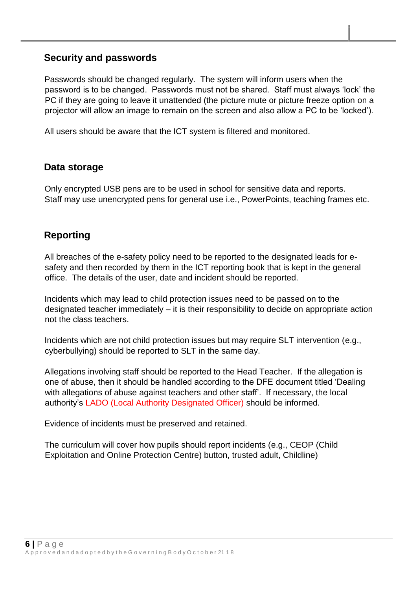### **Security and passwords**

Passwords should be changed regularly. The system will inform users when the password is to be changed. Passwords must not be shared. Staff must always 'lock' the PC if they are going to leave it unattended (the picture mute or picture freeze option on a projector will allow an image to remain on the screen and also allow a PC to be 'locked').

All users should be aware that the ICT system is filtered and monitored.

### **Data storage**

Only encrypted USB pens are to be used in school for sensitive data and reports. Staff may use unencrypted pens for general use i.e., PowerPoints, teaching frames etc.

### **Reporting**

All breaches of the e-safety policy need to be reported to the designated leads for esafety and then recorded by them in the ICT reporting book that is kept in the general office. The details of the user, date and incident should be reported.

Incidents which may lead to child protection issues need to be passed on to the designated teacher immediately – it is their responsibility to decide on appropriate action not the class teachers.

Incidents which are not child protection issues but may require SLT intervention (e.g., cyberbullying) should be reported to SLT in the same day.

Allegations involving staff should be reported to the Head Teacher. If the allegation is one of abuse, then it should be handled according to the DFE document titled 'Dealing with allegations of abuse against teachers and other staff'. If necessary, the local authority's LADO (Local Authority Designated Officer) should be informed.

Evidence of incidents must be preserved and retained.

The curriculum will cover how pupils should report incidents (e.g., CEOP (Child Exploitation and Online Protection Centre) button, trusted adult, Childline)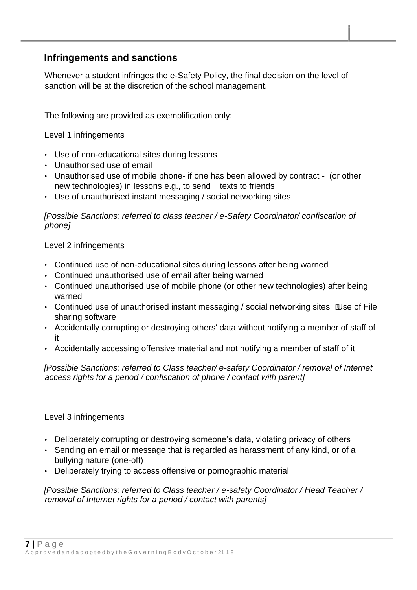### **Infringements and sanctions**

Whenever a student infringes the e-Safety Policy, the final decision on the level of sanction will be at the discretion of the school management.

The following are provided as exemplification only:

Level 1 infringements

- Use of non-educational sites during lessons
- Unauthorised use of email
- Unauthorised use of mobile phone- if one has been allowed by contract (or other new technologies) in lessons e.g., to send texts to friends
- Use of unauthorised instant messaging / social networking sites

*[Possible Sanctions: referred to class teacher / e-Safety Coordinator/ confiscation of phone]* 

Level 2 infringements

- Continued use of non-educational sites during lessons after being warned
- Continued unauthorised use of email after being warned
- Continued unauthorised use of mobile phone (or other new technologies) after being warned
- Continued use of unauthorised instant messaging / social networking sites Use of File sharing software
- Accidentally corrupting or destroying others' data without notifying a member of staff of it
- Accidentally accessing offensive material and not notifying a member of staff of it

*[Possible Sanctions: referred to Class teacher/ e-safety Coordinator / removal of Internet access rights for a period / confiscation of phone / contact with parent]* 

#### Level 3 infringements

- Deliberately corrupting or destroying someone's data, violating privacy of others
- Sending an email or message that is regarded as harassment of any kind, or of a bullying nature (one-off)
- Deliberately trying to access offensive or pornographic material

*[Possible Sanctions: referred to Class teacher / e-safety Coordinator / Head Teacher / removal of Internet rights for a period / contact with parents]*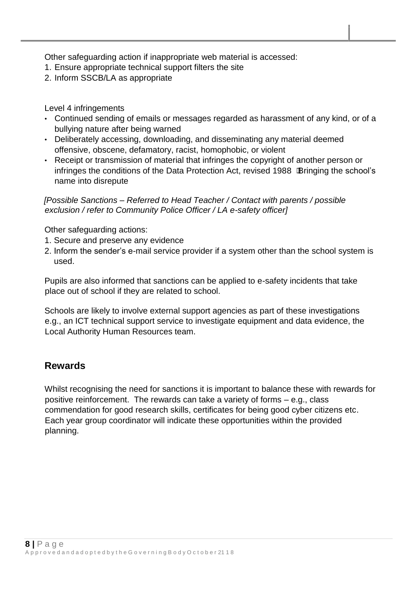Other safeguarding action if inappropriate web material is accessed:

- 1. Ensure appropriate technical support filters the site
- 2. Inform SSCB/LA as appropriate

#### Level 4 infringements

- Continued sending of emails or messages regarded as harassment of any kind, or of a bullying nature after being warned
- Deliberately accessing, downloading, and disseminating any material deemed offensive, obscene, defamatory, racist, homophobic, or violent
- Receipt or transmission of material that infringes the copyright of another person or infringes the conditions of the Data Protection Act, revised 1988 Bringing the school's name into disrepute

*[Possible Sanctions – Referred to Head Teacher / Contact with parents / possible exclusion / refer to Community Police Officer / LA e-safety officer]* 

Other safeguarding actions:

- 1. Secure and preserve any evidence
- 2. Inform the sender's e-mail service provider if a system other than the school system is used.

Pupils are also informed that sanctions can be applied to e-safety incidents that take place out of school if they are related to school.

Schools are likely to involve external support agencies as part of these investigations e.g., an ICT technical support service to investigate equipment and data evidence, the Local Authority Human Resources team.

### **Rewards**

Whilst recognising the need for sanctions it is important to balance these with rewards for positive reinforcement. The rewards can take a variety of forms – e.g., class commendation for good research skills, certificates for being good cyber citizens etc. Each year group coordinator will indicate these opportunities within the provided planning.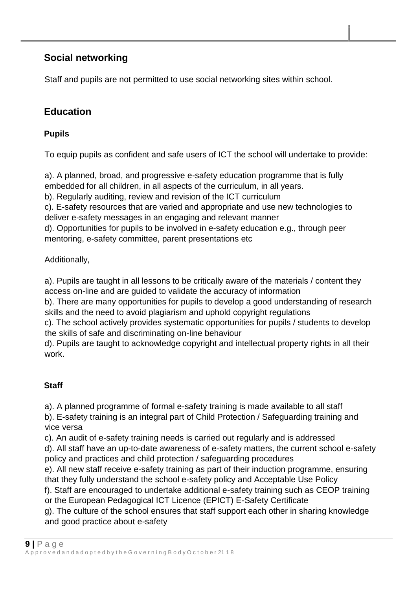### **Social networking**

Staff and pupils are not permitted to use social networking sites within school.

### **Education**

### **Pupils**

To equip pupils as confident and safe users of ICT the school will undertake to provide:

a). A planned, broad, and progressive e-safety education programme that is fully embedded for all children, in all aspects of the curriculum, in all years.

b). Regularly auditing, review and revision of the ICT curriculum

c). E-safety resources that are varied and appropriate and use new technologies to deliver e-safety messages in an engaging and relevant manner

d). Opportunities for pupils to be involved in e-safety education e.g., through peer mentoring, e-safety committee, parent presentations etc

#### Additionally,

a). Pupils are taught in all lessons to be critically aware of the materials / content they access on-line and are guided to validate the accuracy of information

b). There are many opportunities for pupils to develop a good understanding of research skills and the need to avoid plagiarism and uphold copyright regulations

c). The school actively provides systematic opportunities for pupils / students to develop the skills of safe and discriminating on-line behaviour

d). Pupils are taught to acknowledge copyright and intellectual property rights in all their work.

### **Staff**

a). A planned programme of formal e-safety training is made available to all staff

b). E-safety training is an integral part of Child Protection / Safeguarding training and vice versa

c). An audit of e-safety training needs is carried out regularly and is addressed

d). All staff have an up-to-date awareness of e-safety matters, the current school e-safety policy and practices and child protection / safeguarding procedures

e). All new staff receive e-safety training as part of their induction programme, ensuring that they fully understand the school e-safety policy and Acceptable Use Policy

f). Staff are encouraged to undertake additional e-safety training such as CEOP training or the European Pedagogical ICT Licence (EPICT) E-Safety Certificate

g). The culture of the school ensures that staff support each other in sharing knowledge and good practice about e-safety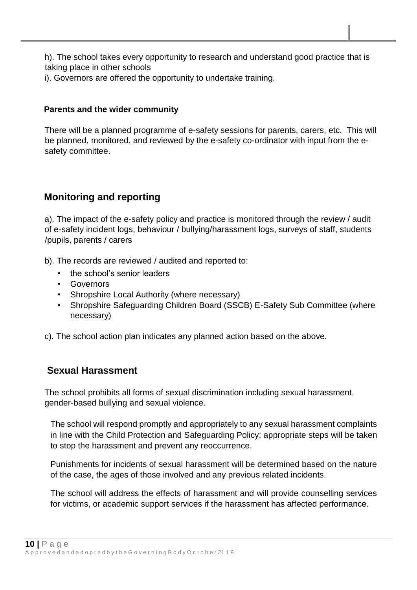h). The school takes every opportunity to research and understand good practice that is taking place in other schools

i). Governors are offered the opportunity to undertake training.

#### **Parents and the wider community**

There will be a planned programme of e-safety sessions for parents, carers, etc. This will be planned, monitored, and reviewed by the e-safety co-ordinator with input from the esafety committee.

### **Monitoring and reporting**

a). The impact of the e-safety policy and practice is monitored through the review / audit of e-safety incident logs, behaviour / bullying/harassment logs, surveys of staff, students /pupils, parents / carers

- b). The records are reviewed / audited and reported to:
	- the school's senior leaders
	- **Governors**
	- Shropshire Local Authority (where necessary)
	- Shropshire Safeguarding Children Board (SSCB) E-Safety Sub Committee (where necessary)
- c). The school action plan indicates any planned action based on the above.

### **Sexual Harassment**

The school prohibits all forms of sexual discrimination including sexual harassment, gender-based bullying and sexual violence.

The school will respond promptly and appropriately to any sexual harassment complaints in line with the Child Protection and Safeguarding Policy; appropriate steps will be taken to stop the harassment and prevent any reoccurrence.

Punishments for incidents of sexual harassment will be determined based on the nature of the case, the ages of those involved and any previous related incidents.

The school will address the effects of harassment and will provide counselling services for victims, or academic support services if the harassment has affected performance.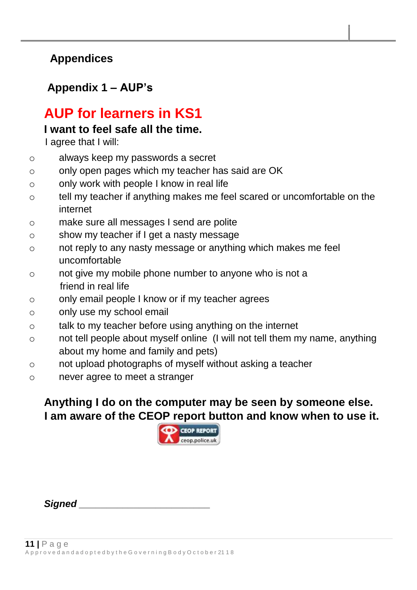### **Appendices**

### **Appendix 1 – AUP's**

# **AUP for learners in KS1**

### **I want to feel safe all the time.**

I agree that I will:

- o always keep my passwords a secret
- o only open pages which my teacher has said are OK
- o only work with people I know in real life
- o tell my teacher if anything makes me feel scared or uncomfortable on the internet
- o make sure all messages I send are polite
- o show my teacher if I get a nasty message
- o not reply to any nasty message or anything which makes me feel uncomfortable
- o not give my mobile phone number to anyone who is not a friend in real life
- o only email people I know or if my teacher agrees
- o only use my school email
- o talk to my teacher before using anything on the internet
- o not tell people about myself online (I will not tell them my name, anything about my home and family and pets)
- o not upload photographs of myself without asking a teacher
- o never agree to meet a stranger

## **Anything I do on the computer may be seen by someone else. I am aware of the CEOP report button and know when to use it.**



*Signed \_\_\_\_\_\_\_\_\_\_\_\_\_\_\_\_\_\_\_\_\_\_\_\_*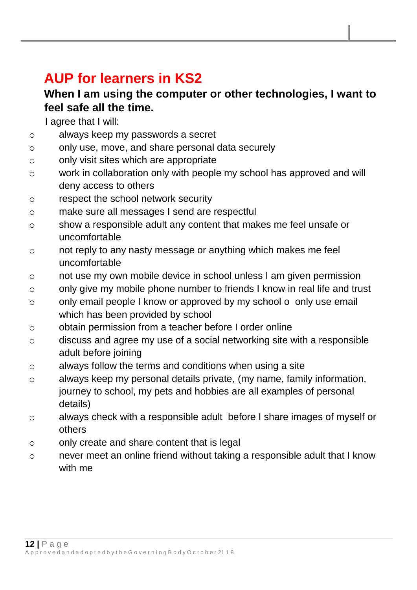# **AUP for learners in KS2**

### **When I am using the computer or other technologies, I want to feel safe all the time.**

I agree that I will:

- o always keep my passwords a secret
- o only use, move, and share personal data securely
- o only visit sites which are appropriate
- o work in collaboration only with people my school has approved and will deny access to others
- o respect the school network security
- o make sure all messages I send are respectful
- o show a responsible adult any content that makes me feel unsafe or uncomfortable
- o not reply to any nasty message or anything which makes me feel uncomfortable
- o not use my own mobile device in school unless I am given permission
- o only give my mobile phone number to friends I know in real life and trust
- o only email people I know or approved by my school o only use email which has been provided by school
- o obtain permission from a teacher before I order online
- o discuss and agree my use of a social networking site with a responsible adult before joining
- o always follow the terms and conditions when using a site
- o always keep my personal details private, (my name, family information, journey to school, my pets and hobbies are all examples of personal details)
- o always check with a responsible adult before I share images of myself or others
- o only create and share content that is legal
- o never meet an online friend without taking a responsible adult that I know with me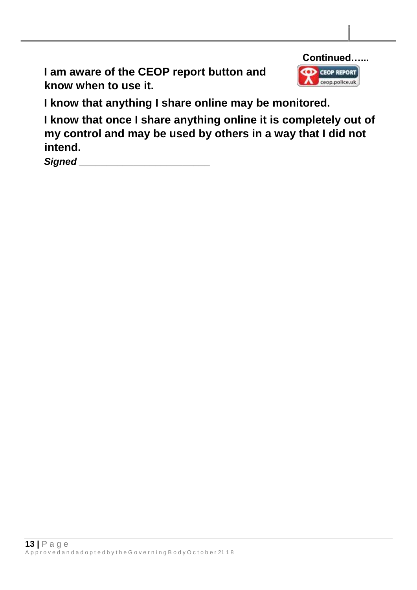**I am aware of the CEOP report button and know when to use it.** 



**I know that anything I share online may be monitored.** 

**I know that once I share anything online it is completely out of my control and may be used by others in a way that I did not intend.** 

 $$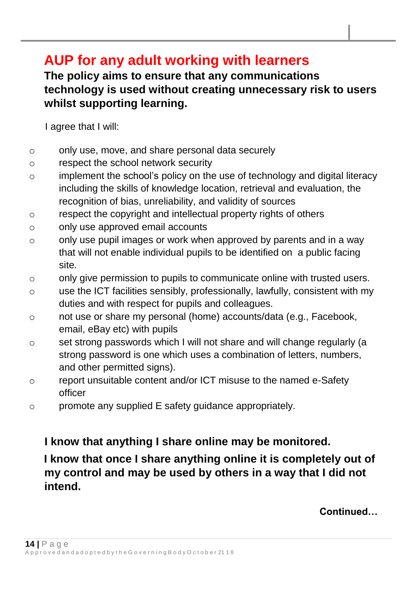# **AUP for any adult working with learners**

## **The policy aims to ensure that any communications technology is used without creating unnecessary risk to users whilst supporting learning.**

I agree that I will:

- o only use, move, and share personal data securely
- o respect the school network security
- o implement the school's policy on the use of technology and digital literacy including the skills of knowledge location, retrieval and evaluation, the recognition of bias, unreliability, and validity of sources
- o respect the copyright and intellectual property rights of others
- o only use approved email accounts
- o only use pupil images or work when approved by parents and in a way that will not enable individual pupils to be identified on a public facing site.
- o only give permission to pupils to communicate online with trusted users.
- o use the ICT facilities sensibly, professionally, lawfully, consistent with my duties and with respect for pupils and colleagues.
- o not use or share my personal (home) accounts/data (e.g., Facebook, email, eBay etc) with pupils
- o set strong passwords which I will not share and will change regularly (a strong password is one which uses a combination of letters, numbers, and other permitted signs).
- o report unsuitable content and/or ICT misuse to the named e-Safety officer
- o promote any supplied E safety guidance appropriately.

## **I know that anything I share online may be monitored.**

**I know that once I share anything online it is completely out of my control and may be used by others in a way that I did not intend.** 

**Continued…**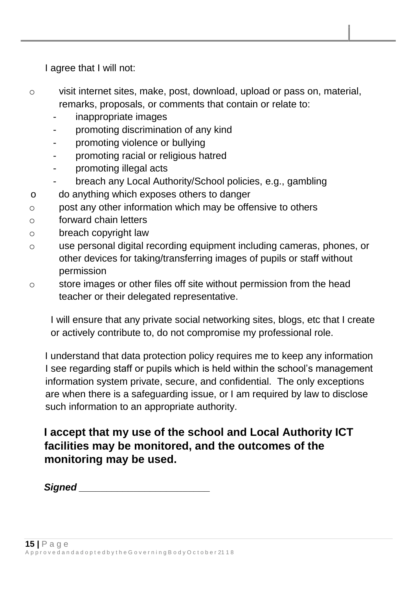I agree that I will not:

- o visit internet sites, make, post, download, upload or pass on, material, remarks, proposals, or comments that contain or relate to:
	- inappropriate images
	- promoting discrimination of any kind
	- promoting violence or bullying
	- promoting racial or religious hatred
	- promoting illegal acts
	- breach any Local Authority/School policies, e.g., gambling
- o do anything which exposes others to danger
- o post any other information which may be offensive to others
- o forward chain letters
- o breach copyright law
- o use personal digital recording equipment including cameras, phones, or other devices for taking/transferring images of pupils or staff without permission
- o store images or other files off site without permission from the head teacher or their delegated representative.

I will ensure that any private social networking sites, blogs, etc that I create or actively contribute to, do not compromise my professional role.

I understand that data protection policy requires me to keep any information I see regarding staff or pupils which is held within the school's management information system private, secure, and confidential. The only exceptions are when there is a safeguarding issue, or I am required by law to disclose such information to an appropriate authority.

**I accept that my use of the school and Local Authority ICT facilities may be monitored, and the outcomes of the monitoring may be used.** 

*Signed \_\_\_\_\_\_\_\_\_\_\_\_\_\_\_\_\_\_\_\_\_\_\_\_*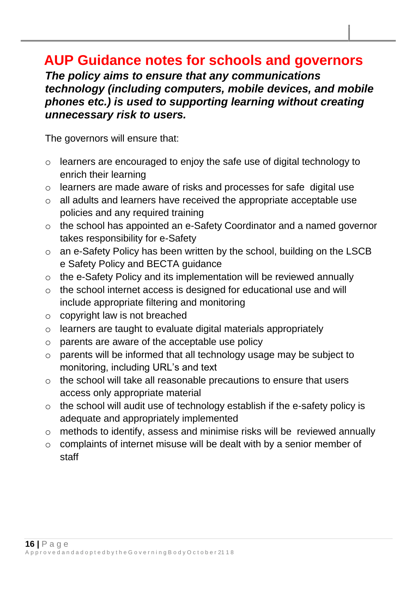# **AUP Guidance notes for schools and governors**

*The policy aims to ensure that any communications technology (including computers, mobile devices, and mobile phones etc.) is used to supporting learning without creating unnecessary risk to users.* 

The governors will ensure that:

- o learners are encouraged to enjoy the safe use of digital technology to enrich their learning
- o learners are made aware of risks and processes for safe digital use
- o all adults and learners have received the appropriate acceptable use policies and any required training
- o the school has appointed an e-Safety Coordinator and a named governor takes responsibility for e-Safety
- o an e-Safety Policy has been written by the school, building on the LSCB e Safety Policy and BECTA guidance
- o the e-Safety Policy and its implementation will be reviewed annually
- o the school internet access is designed for educational use and will include appropriate filtering and monitoring
- $\circ$  copyright law is not breached
- o learners are taught to evaluate digital materials appropriately
- o parents are aware of the acceptable use policy
- o parents will be informed that all technology usage may be subject to monitoring, including URL's and text
- o the school will take all reasonable precautions to ensure that users access only appropriate material
- o the school will audit use of technology establish if the e-safety policy is adequate and appropriately implemented
- o methods to identify, assess and minimise risks will be reviewed annually
- o complaints of internet misuse will be dealt with by a senior member of staff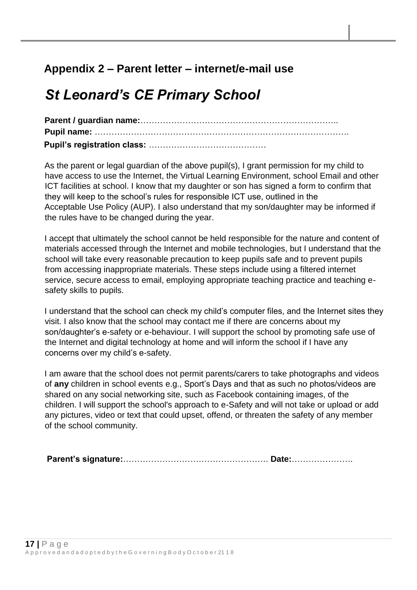## **Appendix 2 – Parent letter – internet/e-mail use**

# *St Leonard's CE Primary School*

**Parent / guardian name:**…………………………………………………………….. **Pupil name:** ………………………………………………………………………………. **Pupil's registration class:** ……………………………………

As the parent or legal guardian of the above pupil(s), I grant permission for my child to have access to use the Internet, the Virtual Learning Environment, school Email and other ICT facilities at school. I know that my daughter or son has signed a form to confirm that they will keep to the school's rules for responsible ICT use, outlined in the Acceptable Use Policy (AUP). I also understand that my son/daughter may be informed if the rules have to be changed during the year.

I accept that ultimately the school cannot be held responsible for the nature and content of materials accessed through the Internet and mobile technologies, but I understand that the school will take every reasonable precaution to keep pupils safe and to prevent pupils from accessing inappropriate materials. These steps include using a filtered internet service, secure access to email, employing appropriate teaching practice and teaching esafety skills to pupils.

I understand that the school can check my child's computer files, and the Internet sites they visit. I also know that the school may contact me if there are concerns about my son/daughter's e-safety or e-behaviour. I will support the school by promoting safe use of the Internet and digital technology at home and will inform the school if I have any concerns over my child's e-safety.

I am aware that the school does not permit parents/carers to take photographs and videos of **any** children in school events e.g., Sport's Days and that as such no photos/videos are shared on any social networking site, such as Facebook containing images, of the children. I will support the school's approach to e-Safety and will not take or upload or add any pictures, video or text that could upset, offend, or threaten the safety of any member of the school community.

**Parent's signature:**……………………………………………. **Date:**………………….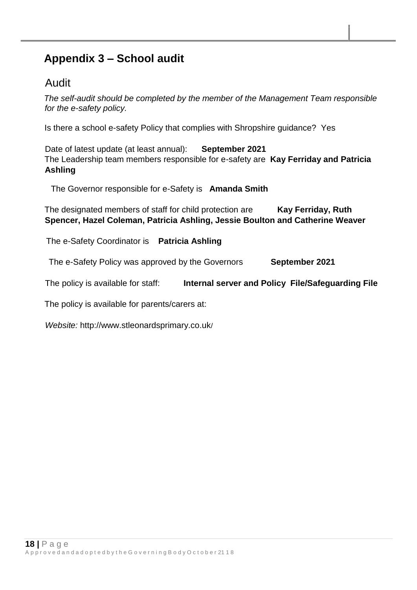## **Appendix 3 – School audit**

### Audit

*The self-audit should be completed by the member of the Management Team responsible for the e-safety policy.* 

Is there a school e-safety Policy that complies with Shropshire guidance? Yes

Date of latest update (at least annual): **September 2021** The Leadership team members responsible for e-safety are **Kay Ferriday and Patricia Ashling**

The Governor responsible for e-Safety is **Amanda Smith**

The designated members of staff for child protection are **Kay Ferriday, Ruth Spencer, Hazel Coleman, Patricia Ashling, Jessie Boulton and Catherine Weaver** 

The e-Safety Coordinator is **Patricia Ashling**

The e-Safety Policy was approved by the Governors **September 2021**

The policy is available for staff: **Internal server and Policy File/Safeguarding File** 

The policy is available for parents/carers at:

*Website:* http://www.stleonardsprimary.co.uk/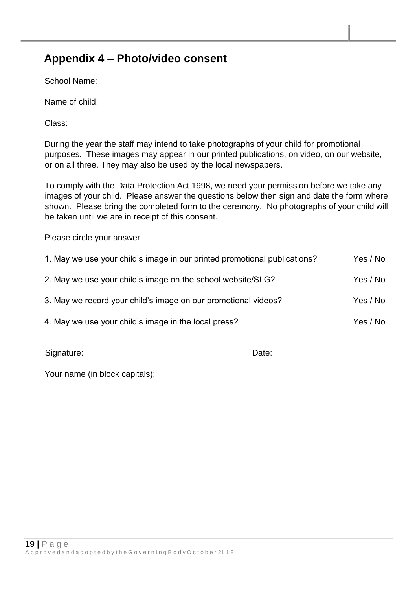### **Appendix 4 – Photo/video consent**

School Name:

Name of child:

Class:

During the year the staff may intend to take photographs of your child for promotional purposes. These images may appear in our printed publications, on video, on our website, or on all three. They may also be used by the local newspapers.

To comply with the Data Protection Act 1998, we need your permission before we take any images of your child. Please answer the questions below then sign and date the form where shown. Please bring the completed form to the ceremony. No photographs of your child will be taken until we are in receipt of this consent.

Please circle your answer

| 1. May we use your child's image in our printed promotional publications? | Yes / No |
|---------------------------------------------------------------------------|----------|
| 2. May we use your child's image on the school website/SLG?               | Yes / No |
| 3. May we record your child's image on our promotional videos?            | Yes / No |
| 4. May we use your child's image in the local press?                      | Yes / No |

Signature: Date: Date: Date: Date: Date: Date: Date: Date: Date: Date: Date: Date: Date: Date: Date: Date: Date: Date: Date: Date: Date: Date: Date: Date: Date: Date: Date: Date: Date: Date: Date: Date: Date: Date: Date: D

Your name (in block capitals):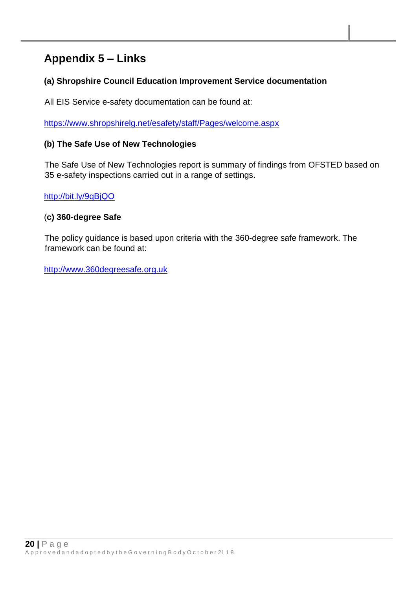## **Appendix 5 – Links**

#### **(a) Shropshire Council Education Improvement Service documentation**

All EIS Service e-safety documentation can be found at:

<https://www.shropshirelg.net/esafety/staff/Pages/welcome.aspx>

#### **(b) The Safe Use of New Technologies**

The Safe Use of New Technologies report is summary of findings from OFSTED based on 35 e-safety inspections carried out in a range of settings.

<http://bit.ly/9qBjQO>

#### (**c) 360-degree Safe**

The policy guidance is based upon criteria with the 360-degree safe framework. The framework can be found at:

[http://www.360degreesafe.org.uk](http://www.360degreesafe.org.uk/)